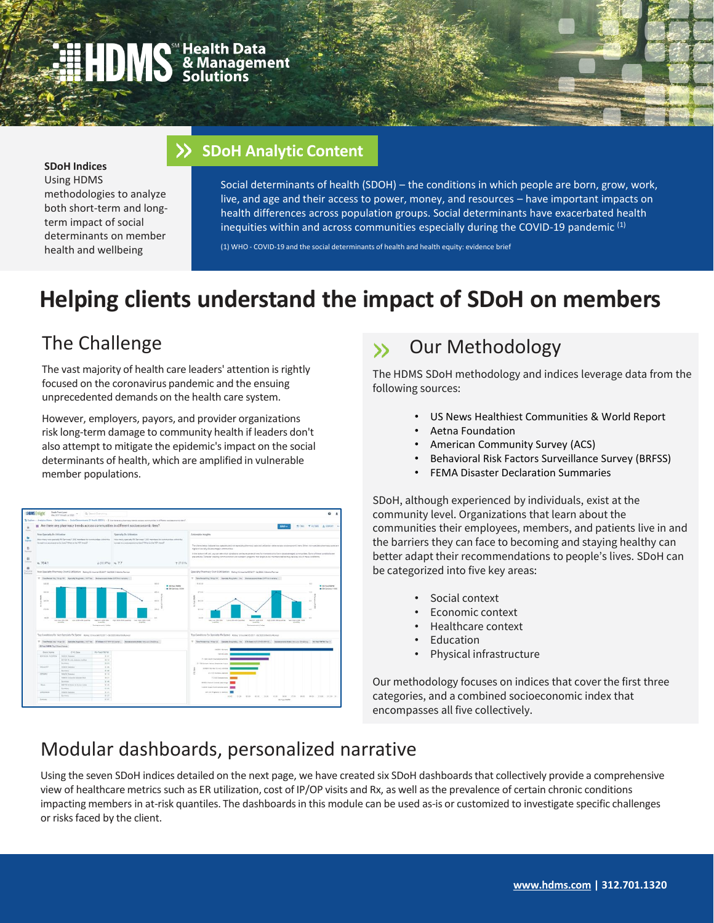# lealth Data & Management



Using HDMS methodologies to analyze both short-term and longterm impact of social determinants on member health and wellbeing

#### **SDoH Analytic Content**

Social determinants of health (SDOH) – the conditions in which people are born, grow, work, live, and age and their access to power, money, and resources – have important impacts on health differences across population groups. Social determinants have exacerbated health inequities within and across communities especially during the COVID-19 pandemic  $<sup>(1)</sup>$ </sup>

(1) WHO - COVID-19 and the social determinants of health and health equity: evidence brief

# **Helping clients understand the impact of SDoH on members**

## The Challenge

The vast majority of health care leaders' attention is rightly focused on the coronavirus pandemic and the ensuing unprecedented demands on the health care system.

However, employers, payors, and provider organizations risk long-term damage to community health if leaders don't also attempt to mitigate the epidemic's impact on the social determinants of health, which are amplified in vulnerable member populations.



### Our Methodology

The HDMS SDoH methodology and indices leverage data from the following sources:

- US News Healthiest Communities & World Report
- Aetna Foundation
- American Community Survey (ACS)
- Behavioral Risk Factors Surveillance Survey (BRFSS)
- FEMA Disaster Declaration Summaries

SDoH, although experienced by individuals, exist at the community level. Organizations that learn about the communities their employees, members, and patients live in and the barriers they can face to becoming and staying healthy can better adapt their recommendations to people's lives. SDoH can be categorized into five key areas:

- Social context
- Economic context
- Healthcare context
- **Education**
- Physical infrastructure

Our methodology focuses on indices that cover the first three categories, and a combined socioeconomic index that encompasses all five collectively.

### Modular dashboards, personalized narrative

Using the seven SDoH indices detailed on the next page, we have created six SDoH dashboards that collectively provide a comprehensive view of healthcare metrics such as ER utilization, cost of IP/OP visits and Rx, as well as the prevalence of certain chronic conditions impacting members in at-risk quantiles. The dashboards in this module can be used as-is or customized to investigate specific challenges or risks faced by the client.